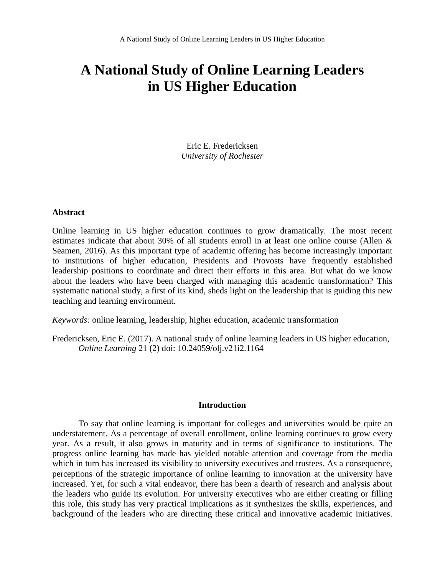Eric E. Fredericksen *University of Rochester*

#### **Abstract**

Online learning in US higher education continues to grow dramatically. The most recent estimates indicate that about 30% of all students enroll in at least one online course (Allen & Seamen, 2016). As this important type of academic offering has become increasingly important to institutions of higher education, Presidents and Provosts have frequently established leadership positions to coordinate and direct their efforts in this area. But what do we know about the leaders who have been charged with managing this academic transformation? This systematic national study, a first of its kind, sheds light on the leadership that is guiding this new teaching and learning environment.

*Keywords:* online learning, leadership, higher education, academic transformation

Fredericksen, Eric E. (2017). A national study of online learning leaders in US higher education, *Online Learning* 21 (2) doi: 10.24059/olj.v21i2.1164

#### **Introduction**

To say that online learning is important for colleges and universities would be quite an understatement. As a percentage of overall enrollment, online learning continues to grow every year. As a result, it also grows in maturity and in terms of significance to institutions. The progress online learning has made has yielded notable attention and coverage from the media which in turn has increased its visibility to university executives and trustees. As a consequence, perceptions of the strategic importance of online learning to innovation at the university have increased. Yet, for such a vital endeavor, there has been a dearth of research and analysis about the leaders who guide its evolution. For university executives who are either creating or filling this role, this study has very practical implications as it synthesizes the skills, experiences, and background of the leaders who are directing these critical and innovative academic initiatives.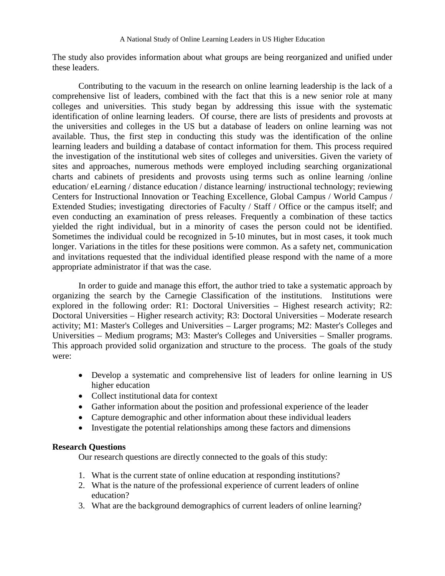The study also provides information about what groups are being reorganized and unified under these leaders.

Contributing to the vacuum in the research on online learning leadership is the lack of a comprehensive list of leaders, combined with the fact that this is a new senior role at many colleges and universities. This study began by addressing this issue with the systematic identification of online learning leaders. Of course, there are lists of presidents and provosts at the universities and colleges in the US but a database of leaders on online learning was not available. Thus, the first step in conducting this study was the identification of the online learning leaders and building a database of contact information for them. This process required the investigation of the institutional web sites of colleges and universities. Given the variety of sites and approaches, numerous methods were employed including searching organizational charts and cabinets of presidents and provosts using terms such as online learning /online education/ eLearning / distance education / distance learning/ instructional technology; reviewing Centers for Instructional Innovation or Teaching Excellence, Global Campus / World Campus / Extended Studies; investigating directories of Faculty / Staff / Office or the campus itself; and even conducting an examination of press releases. Frequently a combination of these tactics yielded the right individual, but in a minority of cases the person could not be identified. Sometimes the individual could be recognized in 5-10 minutes, but in most cases, it took much longer. Variations in the titles for these positions were common. As a safety net, communication and invitations requested that the individual identified please respond with the name of a more appropriate administrator if that was the case.

In order to guide and manage this effort, the author tried to take a systematic approach by organizing the search by the Carnegie Classification of the institutions. Institutions were explored in the following order: R1: Doctoral Universities – Highest research activity; R2: Doctoral Universities – Higher research activity; R3: Doctoral Universities – Moderate research activity; M1: Master's Colleges and Universities – Larger programs; M2: Master's Colleges and Universities – Medium programs; M3: Master's Colleges and Universities – Smaller programs. This approach provided solid organization and structure to the process. The goals of the study were:

- Develop a systematic and comprehensive list of leaders for online learning in US higher education
- Collect institutional data for context
- Gather information about the position and professional experience of the leader
- Capture demographic and other information about these individual leaders
- Investigate the potential relationships among these factors and dimensions

## **Research Questions**

Our research questions are directly connected to the goals of this study:

- 1. What is the current state of online education at responding institutions?
- 2. What is the nature of the professional experience of current leaders of online education?
- 3. What are the background demographics of current leaders of online learning?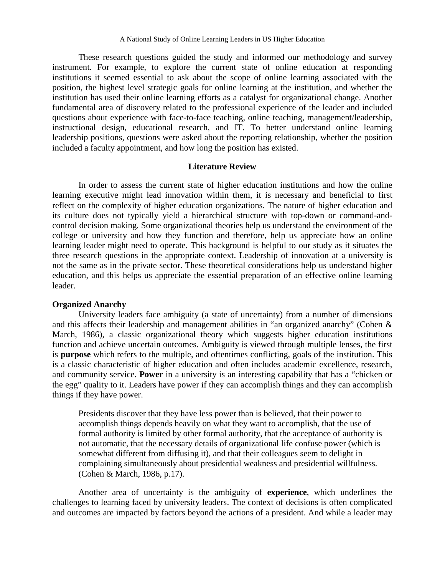These research questions guided the study and informed our methodology and survey instrument. For example, to explore the current state of online education at responding institutions it seemed essential to ask about the scope of online learning associated with the position, the highest level strategic goals for online learning at the institution, and whether the institution has used their online learning efforts as a catalyst for organizational change. Another fundamental area of discovery related to the professional experience of the leader and included questions about experience with face-to-face teaching, online teaching, management/leadership, instructional design, educational research, and IT. To better understand online learning leadership positions, questions were asked about the reporting relationship, whether the position included a faculty appointment, and how long the position has existed.

#### **Literature Review**

In order to assess the current state of higher education institutions and how the online learning executive might lead innovation within them, it is necessary and beneficial to first reflect on the complexity of higher education organizations. The nature of higher education and its culture does not typically yield a hierarchical structure with top-down or command-andcontrol decision making. Some organizational theories help us understand the environment of the college or university and how they function and therefore, help us appreciate how an online learning leader might need to operate. This background is helpful to our study as it situates the three research questions in the appropriate context. Leadership of innovation at a university is not the same as in the private sector. These theoretical considerations help us understand higher education, and this helps us appreciate the essential preparation of an effective online learning leader.

#### **Organized Anarchy**

University leaders face ambiguity (a state of uncertainty) from a number of dimensions and this affects their leadership and management abilities in "an organized anarchy" (Cohen & March, 1986), a classic organizational theory which suggests higher education institutions function and achieve uncertain outcomes. Ambiguity is viewed through multiple lenses, the first is **purpose** which refers to the multiple, and oftentimes conflicting, goals of the institution. This is a classic characteristic of higher education and often includes academic excellence, research, and community service. **Power** in a university is an interesting capability that has a "chicken or the egg" quality to it. Leaders have power if they can accomplish things and they can accomplish things if they have power.

Presidents discover that they have less power than is believed, that their power to accomplish things depends heavily on what they want to accomplish, that the use of formal authority is limited by other formal authority, that the acceptance of authority is not automatic, that the necessary details of organizational life confuse power (which is somewhat different from diffusing it), and that their colleagues seem to delight in complaining simultaneously about presidential weakness and presidential willfulness. (Cohen & March, 1986, p.17).

Another area of uncertainty is the ambiguity of **experience**, which underlines the challenges to learning faced by university leaders. The context of decisions is often complicated and outcomes are impacted by factors beyond the actions of a president. And while a leader may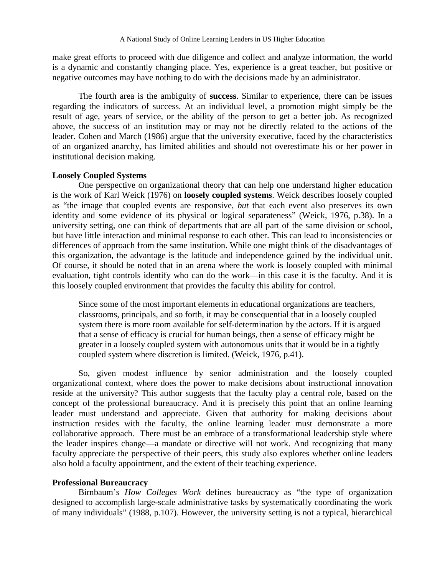make great efforts to proceed with due diligence and collect and analyze information, the world is a dynamic and constantly changing place. Yes, experience is a great teacher, but positive or negative outcomes may have nothing to do with the decisions made by an administrator.

The fourth area is the ambiguity of **success**. Similar to experience, there can be issues regarding the indicators of success. At an individual level, a promotion might simply be the result of age, years of service, or the ability of the person to get a better job. As recognized above, the success of an institution may or may not be directly related to the actions of the leader. Cohen and March (1986) argue that the university executive, faced by the characteristics of an organized anarchy, has limited abilities and should not overestimate his or her power in institutional decision making.

## **Loosely Coupled Systems**

One perspective on organizational theory that can help one understand higher education is the work of Karl Weick (1976) on **loosely coupled systems**. Weick describes loosely coupled as "the image that coupled events are responsive, *but* that each event also preserves its own identity and some evidence of its physical or logical separateness" (Weick, 1976, p.38). In a university setting, one can think of departments that are all part of the same division or school, but have little interaction and minimal response to each other. This can lead to inconsistencies or differences of approach from the same institution. While one might think of the disadvantages of this organization, the advantage is the latitude and independence gained by the individual unit. Of course, it should be noted that in an arena where the work is loosely coupled with minimal evaluation, tight controls identify who can do the work—in this case it is the faculty. And it is this loosely coupled environment that provides the faculty this ability for control.

Since some of the most important elements in educational organizations are teachers, classrooms, principals, and so forth, it may be consequential that in a loosely coupled system there is more room available for self-determination by the actors. If it is argued that a sense of efficacy is crucial for human beings, then a sense of efficacy might be greater in a loosely coupled system with autonomous units that it would be in a tightly coupled system where discretion is limited. (Weick, 1976, p.41).

So, given modest influence by senior administration and the loosely coupled organizational context, where does the power to make decisions about instructional innovation reside at the university? This author suggests that the faculty play a central role, based on the concept of the professional bureaucracy. And it is precisely this point that an online learning leader must understand and appreciate. Given that authority for making decisions about instruction resides with the faculty, the online learning leader must demonstrate a more collaborative approach. There must be an embrace of a transformational leadership style where the leader inspires change—a mandate or directive will not work. And recognizing that many faculty appreciate the perspective of their peers, this study also explores whether online leaders also hold a faculty appointment, and the extent of their teaching experience.

#### **Professional Bureaucracy**

Birnbaum's *How Colleges Work* defines bureaucracy as "the type of organization designed to accomplish large-scale administrative tasks by systematically coordinating the work of many individuals" (1988, p.107). However, the university setting is not a typical, hierarchical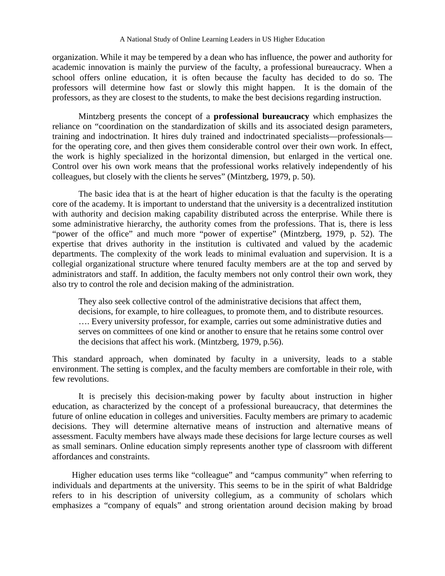organization. While it may be tempered by a dean who has influence, the power and authority for academic innovation is mainly the purview of the faculty, a professional bureaucracy. When a school offers online education, it is often because the faculty has decided to do so. The professors will determine how fast or slowly this might happen. It is the domain of the professors, as they are closest to the students, to make the best decisions regarding instruction.

Mintzberg presents the concept of a **professional bureaucracy** which emphasizes the reliance on "coordination on the standardization of skills and its associated design parameters, training and indoctrination. It hires duly trained and indoctrinated specialists—professionals for the operating core, and then gives them considerable control over their own work. In effect, the work is highly specialized in the horizontal dimension, but enlarged in the vertical one. Control over his own work means that the professional works relatively independently of his colleagues, but closely with the clients he serves" (Mintzberg, 1979, p. 50).

The basic idea that is at the heart of higher education is that the faculty is the operating core of the academy. It is important to understand that the university is a decentralized institution with authority and decision making capability distributed across the enterprise. While there is some administrative hierarchy, the authority comes from the professions. That is, there is less "power of the office" and much more "power of expertise" (Mintzberg, 1979, p. 52). The expertise that drives authority in the institution is cultivated and valued by the academic departments. The complexity of the work leads to minimal evaluation and supervision. It is a collegial organizational structure where tenured faculty members are at the top and served by administrators and staff. In addition, the faculty members not only control their own work, they also try to control the role and decision making of the administration.

They also seek collective control of the administrative decisions that affect them, decisions, for example, to hire colleagues, to promote them, and to distribute resources. …. Every university professor, for example, carries out some administrative duties and serves on committees of one kind or another to ensure that he retains some control over the decisions that affect his work. (Mintzberg, 1979, p.56).

This standard approach, when dominated by faculty in a university, leads to a stable environment. The setting is complex, and the faculty members are comfortable in their role, with few revolutions.

It is precisely this decision-making power by faculty about instruction in higher education, as characterized by the concept of a professional bureaucracy, that determines the future of online education in colleges and universities. Faculty members are primary to academic decisions. They will determine alternative means of instruction and alternative means of assessment. Faculty members have always made these decisions for large lecture courses as well as small seminars. Online education simply represents another type of classroom with different affordances and constraints.

Higher education uses terms like "colleague" and "campus community" when referring to individuals and departments at the university. This seems to be in the spirit of what Baldridge refers to in his description of university collegium, as a community of scholars which emphasizes a "company of equals" and strong orientation around decision making by broad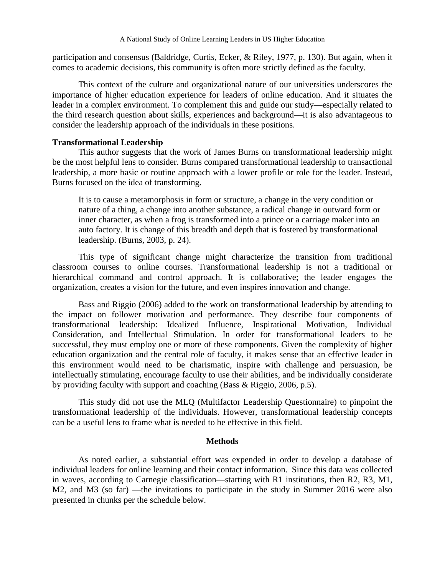participation and consensus (Baldridge, Curtis, Ecker, & Riley, 1977, p. 130). But again, when it comes to academic decisions, this community is often more strictly defined as the faculty.

This context of the culture and organizational nature of our universities underscores the importance of higher education experience for leaders of online education. And it situates the leader in a complex environment. To complement this and guide our study—especially related to the third research question about skills, experiences and background—it is also advantageous to consider the leadership approach of the individuals in these positions.

## **Transformational Leadership**

This author suggests that the work of James Burns on transformational leadership might be the most helpful lens to consider. Burns compared transformational leadership to transactional leadership, a more basic or routine approach with a lower profile or role for the leader. Instead, Burns focused on the idea of transforming.

It is to cause a metamorphosis in form or structure, a change in the very condition or nature of a thing, a change into another substance, a radical change in outward form or inner character, as when a frog is transformed into a prince or a carriage maker into an auto factory. It is change of this breadth and depth that is fostered by transformational leadership. (Burns, 2003, p. 24).

This type of significant change might characterize the transition from traditional classroom courses to online courses. Transformational leadership is not a traditional or hierarchical command and control approach. It is collaborative; the leader engages the organization, creates a vision for the future, and even inspires innovation and change.

Bass and Riggio (2006) added to the work on transformational leadership by attending to the impact on follower motivation and performance. They describe four components of transformational leadership: Idealized Influence, Inspirational Motivation, Individual Consideration, and Intellectual Stimulation. In order for transformational leaders to be successful, they must employ one or more of these components. Given the complexity of higher education organization and the central role of faculty, it makes sense that an effective leader in this environment would need to be charismatic, inspire with challenge and persuasion, be intellectually stimulating, encourage faculty to use their abilities, and be individually considerate by providing faculty with support and coaching (Bass & Riggio, 2006, p.5).

This study did not use the MLQ (Multifactor Leadership Questionnaire) to pinpoint the transformational leadership of the individuals. However, transformational leadership concepts can be a useful lens to frame what is needed to be effective in this field.

#### **Methods**

As noted earlier, a substantial effort was expended in order to develop a database of individual leaders for online learning and their contact information. Since this data was collected in waves, according to Carnegie classification—starting with R1 institutions, then R2, R3, M1, M2, and M3 (so far) —the invitations to participate in the study in Summer 2016 were also presented in chunks per the schedule below.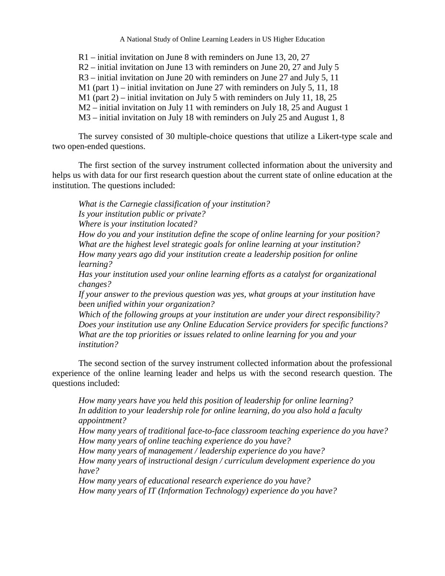R1 – initial invitation on June 8 with reminders on June 13, 20, 27

- R2 initial invitation on June 13 with reminders on June 20, 27 and July 5
- R3 initial invitation on June 20 with reminders on June 27 and July 5, 11
- M1 (part 1) initial invitation on June 27 with reminders on July 5, 11, 18
- M1 (part 2) initial invitation on July 5 with reminders on July 11, 18, 25
- M2 initial invitation on July 11 with reminders on July 18, 25 and August 1
- M3 initial invitation on July 18 with reminders on July 25 and August 1, 8

The survey consisted of 30 multiple-choice questions that utilize a Likert-type scale and two open-ended questions.

The first section of the survey instrument collected information about the university and helps us with data for our first research question about the current state of online education at the institution. The questions included:

*What is the Carnegie classification of your institution? Is your institution public or private? Where is your institution located? How do you and your institution define the scope of online learning for your position? What are the highest level strategic goals for online learning at your institution? How many years ago did your institution create a leadership position for online learning?* 

*Has your institution used your online learning efforts as a catalyst for organizational changes?* 

*If your answer to the previous question was yes, what groups at your institution have been unified within your organization?* 

*Which of the following groups at your institution are under your direct responsibility? Does your institution use any Online Education Service providers for specific functions? What are the top priorities or issues related to online learning for you and your institution?*

The second section of the survey instrument collected information about the professional experience of the online learning leader and helps us with the second research question. The questions included:

*How many years have you held this position of leadership for online learning? In addition to your leadership role for online learning, do you also hold a faculty appointment?* 

*How many years of traditional face-to-face classroom teaching experience do you have? How many years of online teaching experience do you have?* 

*How many years of management / leadership experience do you have?* 

*How many years of instructional design / curriculum development experience do you have?*

*How many years of educational research experience do you have? How many years of IT (Information Technology) experience do you have?*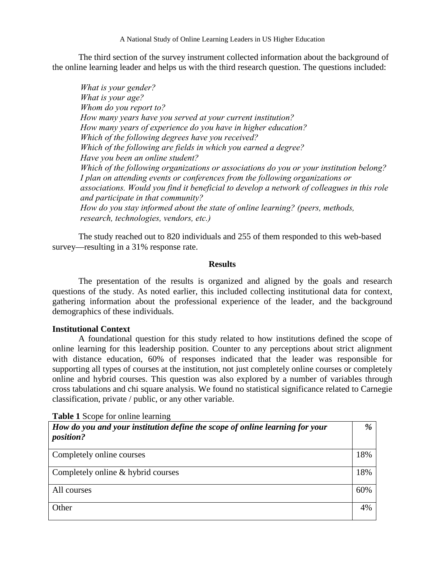The third section of the survey instrument collected information about the background of the online learning leader and helps us with the third research question. The questions included:

*What is your gender? What is your age? Whom do you report to? How many years have you served at your current institution? How many years of experience do you have in higher education? Which of the following degrees have you received? Which of the following are fields in which you earned a degree? Have you been an online student? Which of the following organizations or associations do you or your institution belong? I plan on attending events or conferences from the following organizations or associations. Would you find it beneficial to develop a network of colleagues in this role and participate in that community? How do you stay informed about the state of online learning? (peers, methods, research, technologies, vendors, etc.)*

The study reached out to 820 individuals and 255 of them responded to this web-based survey—resulting in a 31% response rate.

## **Results**

The presentation of the results is organized and aligned by the goals and research questions of the study. As noted earlier, this included collecting institutional data for context, gathering information about the professional experience of the leader, and the background demographics of these individuals.

## **Institutional Context**

A foundational question for this study related to how institutions defined the scope of online learning for this leadership position. Counter to any perceptions about strict alignment with distance education, 60% of responses indicated that the leader was responsible for supporting all types of courses at the institution, not just completely online courses or completely online and hybrid courses. This question was also explored by a number of variables through cross tabulations and chi square analysis. We found no statistical significance related to Carnegie classification, private / public, or any other variable.

**Table 1** Scope for online learning

| How do you and your institution define the scope of online learning for your<br><i>position?</i> | $\%$ |
|--------------------------------------------------------------------------------------------------|------|
| Completely online courses                                                                        | 18%  |
| Completely online & hybrid courses                                                               | 18%  |
| All courses                                                                                      | 60%  |
| Other                                                                                            | 4%   |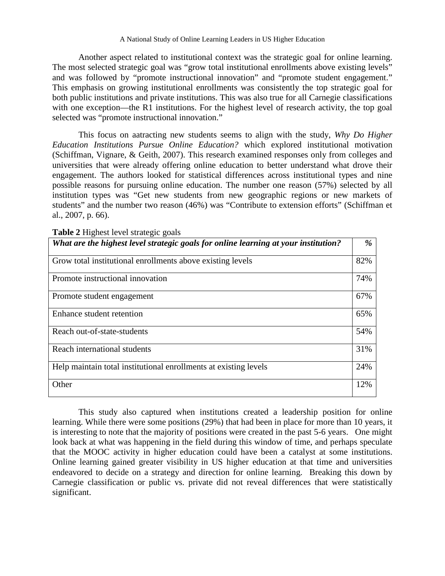Another aspect related to institutional context was the strategic goal for online learning. The most selected strategic goal was "grow total institutional enrollments above existing levels" and was followed by "promote instructional innovation" and "promote student engagement." This emphasis on growing institutional enrollments was consistently the top strategic goal for both public institutions and private institutions. This was also true for all Carnegie classifications with one exception—the R1 institutions. For the highest level of research activity, the top goal selected was "promote instructional innovation."

This focus on aatracting new students seems to align with the study, *Why Do Higher Education Institutions Pursue Online Education?* which explored institutional motivation (Schiffman, Vignare, & Geith, 2007). This research examined responses only from colleges and universities that were already offering online education to better understand what drove their engagement. The authors looked for statistical differences across institutional types and nine possible reasons for pursuing online education. The number one reason (57%) selected by all institution types was "Get new students from new geographic regions or new markets of students" and the number two reason (46%) was "Contribute to extension efforts" (Schiffman et al., 2007, p. 66).

| <b>Table 2</b> Highest level strategic goals                                        |     |
|-------------------------------------------------------------------------------------|-----|
| What are the highest level strategic goals for online learning at your institution? | %   |
| Grow total institutional enrollments above existing levels                          | 82% |
| Promote instructional innovation                                                    | 74% |
| Promote student engagement                                                          | 67% |
| Enhance student retention                                                           | 65% |
| Reach out-of-state-students                                                         | 54% |
| Reach international students                                                        | 31% |
| Help maintain total institutional enrollments at existing levels                    | 24% |
| Other                                                                               | 12% |

**Table 2** Highest level strategic goals

This study also captured when institutions created a leadership position for online learning. While there were some positions (29%) that had been in place for more than 10 years, it is interesting to note that the majority of positions were created in the past 5-6 years. One might look back at what was happening in the field during this window of time, and perhaps speculate that the MOOC activity in higher education could have been a catalyst at some institutions. Online learning gained greater visibility in US higher education at that time and universities endeavored to decide on a strategy and direction for online learning. Breaking this down by Carnegie classification or public vs. private did not reveal differences that were statistically significant.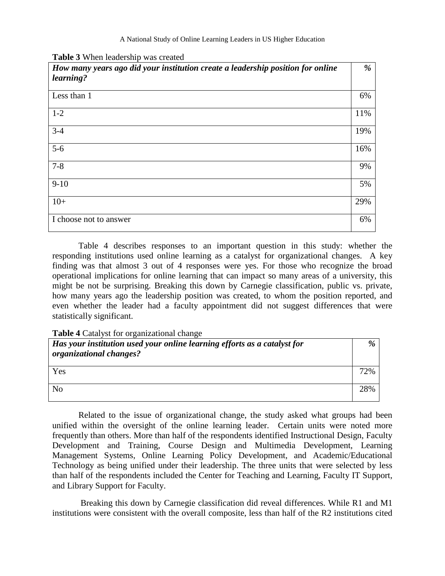|  | Table 3 When leadership was created |  |
|--|-------------------------------------|--|
|--|-------------------------------------|--|

| How many years ago did your institution create a leadership position for online<br>learning? | %   |
|----------------------------------------------------------------------------------------------|-----|
| Less than 1                                                                                  | 6%  |
| $1 - 2$                                                                                      | 11% |
| $3 - 4$                                                                                      | 19% |
| $5-6$                                                                                        | 16% |
| $7 - 8$                                                                                      | 9%  |
| $9-10$                                                                                       | 5%  |
| $10+$                                                                                        | 29% |
| I choose not to answer                                                                       | 6%  |

Table 4 describes responses to an important question in this study: whether the responding institutions used online learning as a catalyst for organizational changes. A key finding was that almost 3 out of 4 responses were yes. For those who recognize the broad operational implications for online learning that can impact so many areas of a university, this might be not be surprising. Breaking this down by Carnegie classification, public vs. private, how many years ago the leadership position was created, to whom the position reported, and even whether the leader had a faculty appointment did not suggest differences that were statistically significant.

## **Table 4** Catalyst for organizational change

| Has your institution used your online learning efforts as a catalyst for<br>organizational changes? | $\%$ |
|-----------------------------------------------------------------------------------------------------|------|
| Yes                                                                                                 | 72%  |
| N <sub>0</sub>                                                                                      | 28%  |

Related to the issue of organizational change, the study asked what groups had been unified within the oversight of the online learning leader. Certain units were noted more frequently than others. More than half of the respondents identified Instructional Design, Faculty Development and Training, Course Design and Multimedia Development, Learning Management Systems, Online Learning Policy Development, and Academic/Educational Technology as being unified under their leadership. The three units that were selected by less than half of the respondents included the Center for Teaching and Learning, Faculty IT Support, and Library Support for Faculty.

Breaking this down by Carnegie classification did reveal differences. While R1 and M1 institutions were consistent with the overall composite, less than half of the R2 institutions cited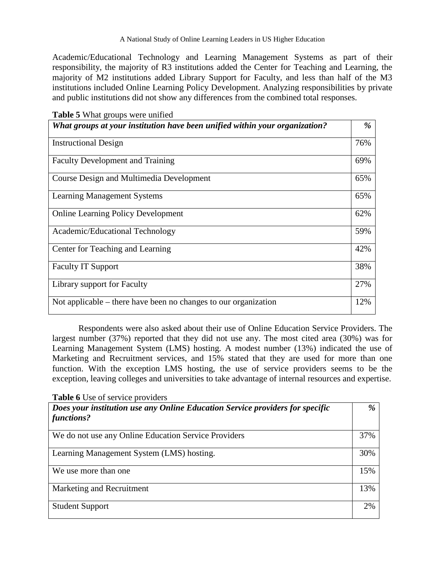Academic/Educational Technology and Learning Management Systems as part of their responsibility, the majority of R3 institutions added the Center for Teaching and Learning, the majority of M2 institutions added Library Support for Faculty, and less than half of the M3 institutions included Online Learning Policy Development. Analyzing responsibilities by private and public institutions did not show any differences from the combined total responses.

| <b>Table 5</b> What groups were unified                                     |     |
|-----------------------------------------------------------------------------|-----|
| What groups at your institution have been unified within your organization? | %   |
| <b>Instructional Design</b>                                                 | 76% |
| <b>Faculty Development and Training</b>                                     | 69% |
| Course Design and Multimedia Development                                    | 65% |
| <b>Learning Management Systems</b>                                          | 65% |
| <b>Online Learning Policy Development</b>                                   | 62% |
| Academic/Educational Technology                                             | 59% |
| Center for Teaching and Learning                                            | 42% |
| <b>Faculty IT Support</b>                                                   | 38% |
| Library support for Faculty                                                 | 27% |
| Not applicable $-$ there have been no changes to our organization           | 12% |

Respondents were also asked about their use of Online Education Service Providers. The largest number (37%) reported that they did not use any. The most cited area (30%) was for Learning Management System (LMS) hosting. A modest number (13%) indicated the use of Marketing and Recruitment services, and 15% stated that they are used for more than one function. With the exception LMS hosting, the use of service providers seems to be the exception, leaving colleges and universities to take advantage of internal resources and expertise.

**Table 6** Use of service providers

| Does your institution use any Online Education Service providers for specific<br>functions? | $\frac{9}{6}$ |
|---------------------------------------------------------------------------------------------|---------------|
| We do not use any Online Education Service Providers                                        | 37%           |
| Learning Management System (LMS) hosting.                                                   | 30%           |
| We use more than one.                                                                       | 15%           |
| Marketing and Recruitment                                                                   | 13%           |
| <b>Student Support</b>                                                                      | 2%            |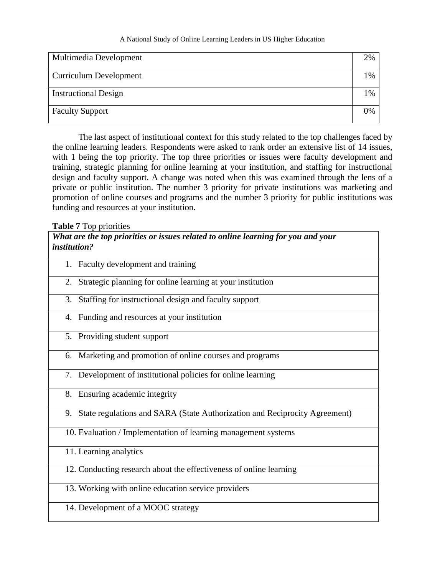| Multimedia Development        | 2% |
|-------------------------------|----|
| <b>Curriculum Development</b> | 1% |
| <b>Instructional Design</b>   | 1% |
| <b>Faculty Support</b>        | 0% |

The last aspect of institutional context for this study related to the top challenges faced by the online learning leaders. Respondents were asked to rank order an extensive list of 14 issues, with 1 being the top priority. The top three priorities or issues were faculty development and training, strategic planning for online learning at your institution, and staffing for instructional design and faculty support. A change was noted when this was examined through the lens of a private or public institution. The number 3 priority for private institutions was marketing and promotion of online courses and programs and the number 3 priority for public institutions was funding and resources at your institution.

## **Table 7** Top priorities

*What are the top priorities or issues related to online learning for you and your institution?*

| 1. Faculty development and training                                              |
|----------------------------------------------------------------------------------|
| Strategic planning for online learning at your institution<br>2.                 |
| Staffing for instructional design and faculty support<br>3.                      |
| 4. Funding and resources at your institution                                     |
| 5. Providing student support                                                     |
| 6. Marketing and promotion of online courses and programs                        |
| 7. Development of institutional policies for online learning                     |
| 8. Ensuring academic integrity                                                   |
| State regulations and SARA (State Authorization and Reciprocity Agreement)<br>9. |
| 10. Evaluation / Implementation of learning management systems                   |
| 11. Learning analytics                                                           |
| 12. Conducting research about the effectiveness of online learning               |
| 13. Working with online education service providers                              |

14. Development of a MOOC strategy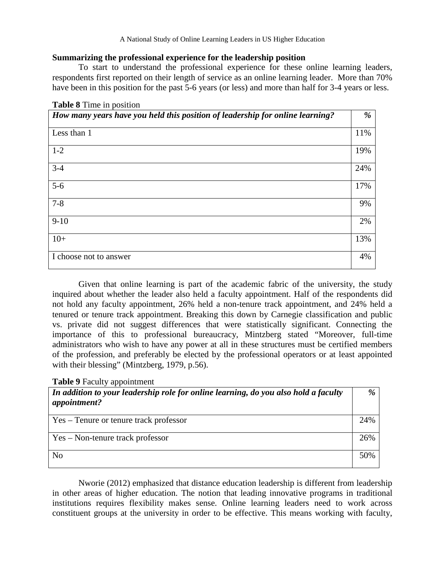## **Summarizing the professional experience for the leadership position**

To start to understand the professional experience for these online learning leaders, respondents first reported on their length of service as an online learning leader. More than 70% have been in this position for the past 5-6 years (or less) and more than half for 3-4 years or less.

| How many years have you held this position of leadership for online learning? | %   |
|-------------------------------------------------------------------------------|-----|
| Less than 1                                                                   | 11% |
| $1 - 2$                                                                       | 19% |
| $3 - 4$                                                                       | 24% |
| $5-6$                                                                         | 17% |
| $7 - 8$                                                                       | 9%  |
| $9-10$                                                                        | 2%  |
| $10+$                                                                         | 13% |
| I choose not to answer                                                        | 4%  |

|  |  | <b>Table 8</b> Time in position |
|--|--|---------------------------------|
|  |  |                                 |

Given that online learning is part of the academic fabric of the university, the study inquired about whether the leader also held a faculty appointment. Half of the respondents did not hold any faculty appointment, 26% held a non-tenure track appointment, and 24% held a tenured or tenure track appointment. Breaking this down by Carnegie classification and public vs. private did not suggest differences that were statistically significant. Connecting the importance of this to professional bureaucracy, Mintzberg stated "Moreover, full-time administrators who wish to have any power at all in these structures must be certified members of the profession, and preferably be elected by the professional operators or at least appointed with their blessing" (Mintzberg, 1979, p.56).

| <b>Table 9 Faculty appointment</b> |  |
|------------------------------------|--|
|------------------------------------|--|

| In addition to your leadership role for online learning, do you also hold a faculty<br>appointment? | $\%$ |
|-----------------------------------------------------------------------------------------------------|------|
| Yes – Tenure or tenure track professor                                                              | 24%  |
| Yes – Non-tenure track professor                                                                    | 26%  |
| N <sub>0</sub>                                                                                      | 50%  |

Nworie (2012) emphasized that distance education leadership is different from leadership in other areas of higher education. The notion that leading innovative programs in traditional institutions requires flexibility makes sense. Online learning leaders need to work across constituent groups at the university in order to be effective. This means working with faculty,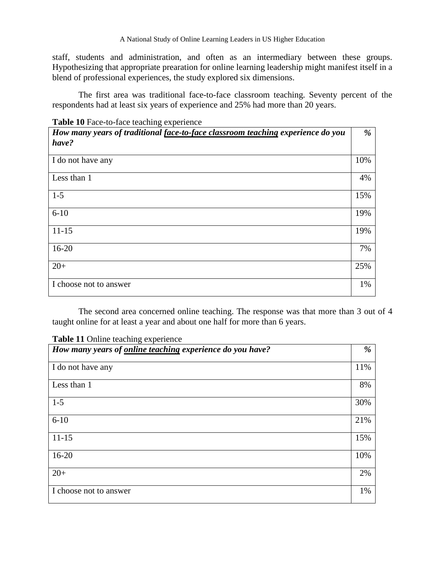staff, students and administration, and often as an intermediary between these groups. Hypothesizing that appropriate prearation for online learning leadership might manifest itself in a blend of professional experiences, the study explored six dimensions.

The first area was traditional face-to-face classroom teaching. Seventy percent of the respondents had at least six years of experience and 25% had more than 20 years.

**Table 10** Face-to-face teaching experience

| How many years of traditional face-to-face classroom teaching experience do you<br>have? | %   |
|------------------------------------------------------------------------------------------|-----|
|                                                                                          |     |
| I do not have any                                                                        | 10% |
| Less than 1                                                                              | 4%  |
| $1-5$                                                                                    | 15% |
| $6 - 10$                                                                                 | 19% |
| $11 - 15$                                                                                | 19% |
| $16 - 20$                                                                                | 7%  |
| $20+$                                                                                    | 25% |
| I choose not to answer                                                                   | 1%  |

The second area concerned online teaching. The response was that more than 3 out of 4 taught online for at least a year and about one half for more than 6 years.

| How many years of online teaching experience do you have? | %   |
|-----------------------------------------------------------|-----|
| I do not have any                                         | 11% |
| Less than 1                                               | 8%  |
| $1 - 5$                                                   | 30% |
| $6 - 10$                                                  | 21% |
| $11 - 15$                                                 | 15% |
| $16 - 20$                                                 | 10% |
| $20+$                                                     | 2%  |
| I choose not to answer                                    | 1%  |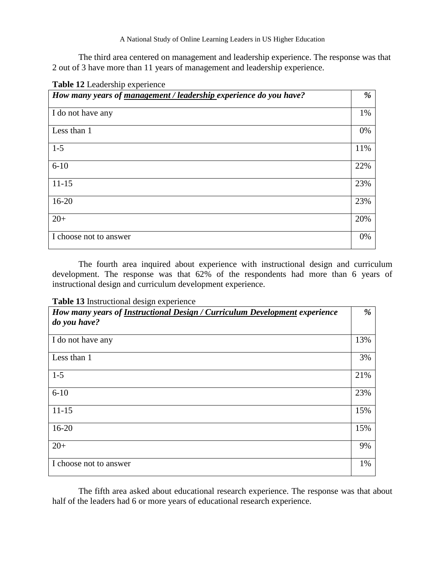The third area centered on management and leadership experience. The response was that 2 out of 3 have more than 11 years of management and leadership experience.

| Table 12 Leadership experience                                    |     |
|-------------------------------------------------------------------|-----|
| How many years of management / leadership experience do you have? | %   |
| I do not have any                                                 | 1%  |
| Less than 1                                                       | 0%  |
| $1-5$                                                             | 11% |
| $6 - 10$                                                          | 22% |
| $11 - 15$                                                         | 23% |
| $16 - 20$                                                         | 23% |
| $20+$                                                             | 20% |
| I choose not to answer                                            | 0%  |

The fourth area inquired about experience with instructional design and curriculum development. The response was that 62% of the respondents had more than 6 years of instructional design and curriculum development experience.

| How many years of Instructional Design / Curriculum Development experience | %   |
|----------------------------------------------------------------------------|-----|
| do you have?                                                               |     |
| I do not have any                                                          | 13% |
| Less than 1                                                                | 3%  |
| $1-5$                                                                      | 21% |
| $6 - 10$                                                                   | 23% |
| $11 - 15$                                                                  | 15% |
| $16-20$                                                                    | 15% |
| $20+$                                                                      | 9%  |
| I choose not to answer                                                     | 1%  |

The fifth area asked about educational research experience. The response was that about half of the leaders had 6 or more years of educational research experience.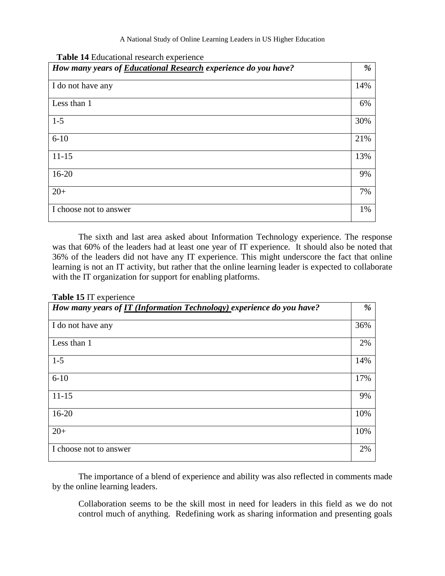| How many years of <b>Educational Research</b> experience do you have? | %   |
|-----------------------------------------------------------------------|-----|
| I do not have any                                                     | 14% |
| Less than 1                                                           | 6%  |
| $1 - 5$                                                               | 30% |
| $6 - 10$                                                              | 21% |
| $11 - 15$                                                             | 13% |
| $16-20$                                                               | 9%  |
| $20+$                                                                 | 7%  |
| I choose not to answer                                                | 1%  |

**Table 14** Educational research experience

The sixth and last area asked about Information Technology experience. The response was that 60% of the leaders had at least one year of IT experience. It should also be noted that 36% of the leaders did not have any IT experience. This might underscore the fact that online learning is not an IT activity, but rather that the online learning leader is expected to collaborate with the IT organization for support for enabling platforms.

## **Table 15** IT experience

| How many years of IT (Information Technology) experience do you have? | %   |
|-----------------------------------------------------------------------|-----|
| I do not have any                                                     | 36% |
| Less than 1                                                           | 2%  |
| $1-5$                                                                 | 14% |
| $6 - 10$                                                              | 17% |
| $11 - 15$                                                             | 9%  |
| $16 - 20$                                                             | 10% |
| $20+$                                                                 | 10% |
| I choose not to answer                                                | 2%  |

The importance of a blend of experience and ability was also reflected in comments made by the online learning leaders.

Collaboration seems to be the skill most in need for leaders in this field as we do not control much of anything. Redefining work as sharing information and presenting goals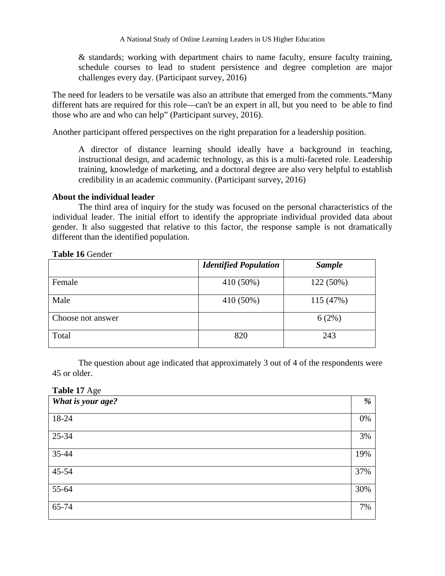& standards; working with department chairs to name faculty, ensure faculty training, schedule courses to lead to student persistence and degree completion are major challenges every day. (Participant survey, 2016)

The need for leaders to be versatile was also an attribute that emerged from the comments."Many different hats are required for this role—can't be an expert in all, but you need to be able to find those who are and who can help" (Participant survey, 2016).

Another participant offered perspectives on the right preparation for a leadership position.

A director of distance learning should ideally have a background in teaching, instructional design, and academic technology, as this is a multi-faceted role. Leadership training, knowledge of marketing, and a doctoral degree are also very helpful to establish credibility in an academic community. (Participant survey, 2016)

## **About the individual leader**

The third area of inquiry for the study was focused on the personal characteristics of the individual leader. The initial effort to identify the appropriate individual provided data about gender. It also suggested that relative to this factor, the response sample is not dramatically different than the identified population.

## **Table 16** Gender

|                   | <b>Identified Population</b> | <b>Sample</b> |
|-------------------|------------------------------|---------------|
| Female            | 410 (50%)                    | 122 (50%)     |
| Male              | 410 (50%)                    | 115 (47%)     |
| Choose not answer |                              | 6(2%)         |
| Total             | 820                          | 243           |

The question about age indicated that approximately 3 out of 4 of the respondents were 45 or older.

**Table 17** Age

| What is your age? | %   |
|-------------------|-----|
| 18-24             | 0%  |
| 25-34             | 3%  |
| 35-44             | 19% |
| 45-54             | 37% |
| $55-64$           | 30% |
| 65-74             | 7%  |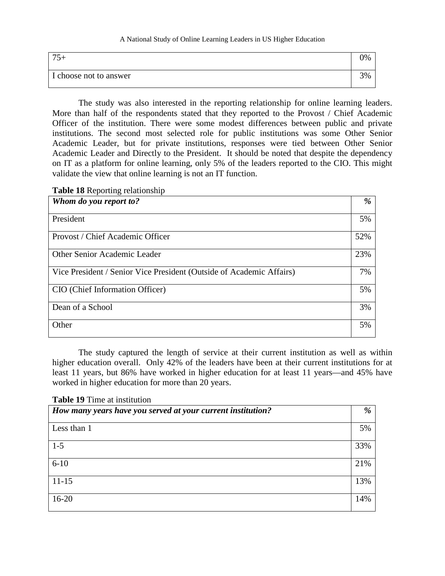| $\overline{\phantom{a}}$ |  |
|--------------------------|--|
| I choose not to answer   |  |

The study was also interested in the reporting relationship for online learning leaders. More than half of the respondents stated that they reported to the Provost / Chief Academic Officer of the institution. There were some modest differences between public and private institutions. The second most selected role for public institutions was some Other Senior Academic Leader, but for private institutions, responses were tied between Other Senior Academic Leader and Directly to the President. It should be noted that despite the dependency on IT as a platform for online learning, only 5% of the leaders reported to the CIO. This might validate the view that online learning is not an IT function.

|  | <b>Table 18 Reporting relationship</b> |
|--|----------------------------------------|
|  |                                        |

| Whom do you report to?                                               | %   |
|----------------------------------------------------------------------|-----|
| President                                                            | 5%  |
| Provost / Chief Academic Officer                                     | 52% |
| Other Senior Academic Leader                                         | 23% |
| Vice President / Senior Vice President (Outside of Academic Affairs) | 7%  |
| CIO (Chief Information Officer)                                      | 5%  |
| Dean of a School                                                     | 3%  |
| Other                                                                | 5%  |

The study captured the length of service at their current institution as well as within higher education overall. Only 42% of the leaders have been at their current institutions for at least 11 years, but 86% have worked in higher education for at least 11 years—and 45% have worked in higher education for more than 20 years.

## **Table 19** Time at institution

| How many years have you served at your current institution? | %   |
|-------------------------------------------------------------|-----|
| Less than 1                                                 | 5%  |
| $1-5$                                                       | 33% |
| $6 - 10$                                                    | 21% |
| $11-15$                                                     | 13% |
| $16 - 20$                                                   | 14% |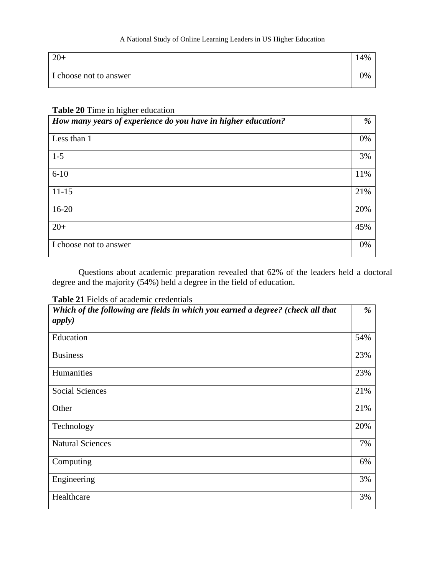| $\Omega$<br>$20+$      | $4\%$ |
|------------------------|-------|
| I choose not to answer | 0%    |

## **Table 20** Time in higher education

| How many years of experience do you have in higher education? | %   |
|---------------------------------------------------------------|-----|
| Less than 1                                                   | 0%  |
| $1 - 5$                                                       | 3%  |
| $6 - 10$                                                      | 11% |
| $11 - 15$                                                     | 21% |
| $16 - 20$                                                     | 20% |
| $20+$                                                         | 45% |
| I choose not to answer                                        | 0%  |

Questions about academic preparation revealed that 62% of the leaders held a doctoral degree and the majority (54%) held a degree in the field of education.

**Table 21** Fields of academic credentials

| Which of the following are fields in which you earned a degree? (check all that<br>apply) | %   |
|-------------------------------------------------------------------------------------------|-----|
| Education                                                                                 | 54% |
| <b>Business</b>                                                                           | 23% |
| Humanities                                                                                | 23% |
| <b>Social Sciences</b>                                                                    | 21% |
| Other                                                                                     | 21% |
| Technology                                                                                | 20% |
| <b>Natural Sciences</b>                                                                   | 7%  |
| Computing                                                                                 | 6%  |
| Engineering                                                                               | 3%  |
| Healthcare                                                                                | 3%  |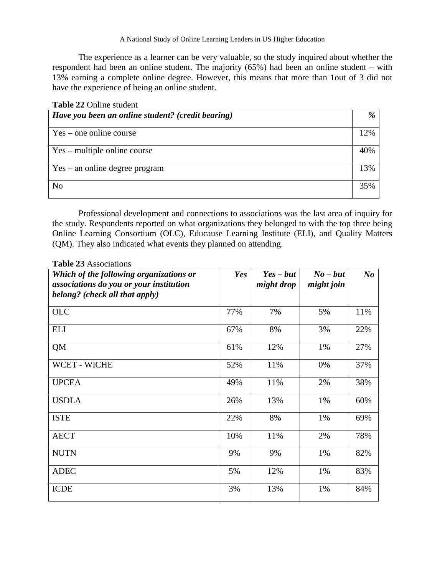The experience as a learner can be very valuable, so the study inquired about whether the respondent had been an online student. The majority (65%) had been an online student – with 13% earning a complete online degree. However, this means that more than 1out of 3 did not have the experience of being an online student.

| <b>Table 22 Online student</b> |  |
|--------------------------------|--|
|--------------------------------|--|

| Have you been an online student? (credit bearing) | %   |
|---------------------------------------------------|-----|
| $Yes - one online course$                         | 12% |
| $Yes - multiple online course$                    | 40% |
| $Yes - an online degree program$                  | 13% |
| N <sub>o</sub>                                    | 35% |

Professional development and connections to associations was the last area of inquiry for the study. Respondents reported on what organizations they belonged to with the top three being Online Learning Consortium (OLC), Educause Learning Institute (ELI), and Quality Matters (QM). They also indicated what events they planned on attending.

|  | <b>Table 23</b> Associations |  |
|--|------------------------------|--|
|  |                              |  |

| Which of the following organizations or<br>associations do you or your institution<br>belong? (check all that apply) | Yes | $Yes - but$<br>might drop | $No$ – but<br>might join | $N_{0}$ |
|----------------------------------------------------------------------------------------------------------------------|-----|---------------------------|--------------------------|---------|
| <b>OLC</b>                                                                                                           | 77% | 7%                        | 5%                       | 11%     |
| <b>ELI</b>                                                                                                           | 67% | 8%                        | 3%                       | 22%     |
| QM                                                                                                                   | 61% | 12%                       | 1%                       | 27%     |
| <b>WCET - WICHE</b>                                                                                                  | 52% | 11%                       | 0%                       | 37%     |
| <b>UPCEA</b>                                                                                                         | 49% | 11%                       | 2%                       | 38%     |
| <b>USDLA</b>                                                                                                         | 26% | 13%                       | 1%                       | 60%     |
| <b>ISTE</b>                                                                                                          | 22% | 8%                        | 1%                       | 69%     |
| <b>AECT</b>                                                                                                          | 10% | 11%                       | 2%                       | 78%     |
| <b>NUTN</b>                                                                                                          | 9%  | 9%                        | 1%                       | 82%     |
| <b>ADEC</b>                                                                                                          | 5%  | 12%                       | 1%                       | 83%     |
| <b>ICDE</b>                                                                                                          | 3%  | 13%                       | 1%                       | 84%     |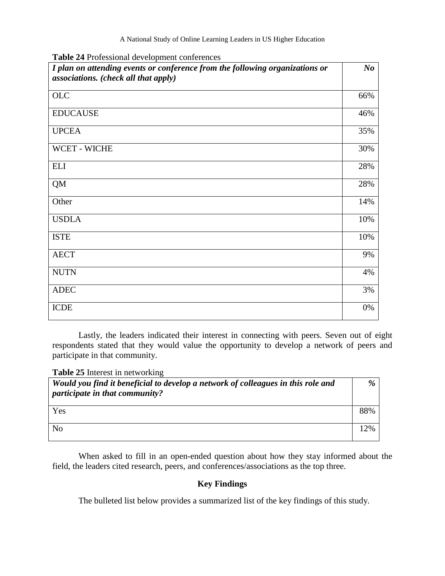| I plan on attending events or conference from the following organizations or<br>associations. (check all that apply) | N <sub>o</sub> |
|----------------------------------------------------------------------------------------------------------------------|----------------|
| OLC                                                                                                                  | 66%            |
| <b>EDUCAUSE</b>                                                                                                      | 46%            |
| <b>UPCEA</b>                                                                                                         | 35%            |
| WCET - WICHE                                                                                                         | 30%            |
| <b>ELI</b>                                                                                                           | 28%            |
| <b>QM</b>                                                                                                            | 28%            |
| Other                                                                                                                | 14%            |
| <b>USDLA</b>                                                                                                         | 10%            |
| <b>ISTE</b>                                                                                                          | 10%            |
| <b>AECT</b>                                                                                                          | 9%             |
| <b>NUTN</b>                                                                                                          | 4%             |
| <b>ADEC</b>                                                                                                          | 3%             |
| <b>ICDE</b>                                                                                                          | 0%             |

Lastly, the leaders indicated their interest in connecting with peers. Seven out of eight respondents stated that they would value the opportunity to develop a network of peers and participate in that community.

**Table 25** Interest in networking

| Would you find it beneficial to develop a network of colleagues in this role and<br><i>participate in that community?</i> | %   |
|---------------------------------------------------------------------------------------------------------------------------|-----|
| Yes                                                                                                                       | 88% |
| N <sub>o</sub>                                                                                                            | 12% |

When asked to fill in an open-ended question about how they stay informed about the field, the leaders cited research, peers, and conferences/associations as the top three.

# **Key Findings**

The bulleted list below provides a summarized list of the key findings of this study.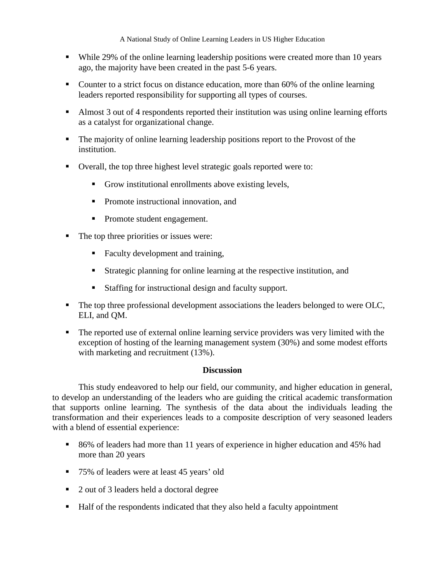- While 29% of the online learning leadership positions were created more than 10 years ago, the majority have been created in the past 5-6 years.
- Counter to a strict focus on distance education, more than 60% of the online learning leaders reported responsibility for supporting all types of courses.
- Almost 3 out of 4 respondents reported their institution was using online learning efforts as a catalyst for organizational change.
- The majority of online learning leadership positions report to the Provost of the institution.
- Overall, the top three highest level strategic goals reported were to:
	- Grow institutional enrollments above existing levels,
	- **Promote instructional innovation, and**
	- Promote student engagement.
- The top three priorities or issues were:
	- Faculty development and training,
	- Strategic planning for online learning at the respective institution, and
	- Staffing for instructional design and faculty support.
- The top three professional development associations the leaders belonged to were OLC, ELI, and QM.
- The reported use of external online learning service providers was very limited with the exception of hosting of the learning management system (30%) and some modest efforts with marketing and recruitment (13%).

## **Discussion**

This study endeavored to help our field, our community, and higher education in general, to develop an understanding of the leaders who are guiding the critical academic transformation that supports online learning. The synthesis of the data about the individuals leading the transformation and their experiences leads to a composite description of very seasoned leaders with a blend of essential experience:

- 86% of leaders had more than 11 years of experience in higher education and 45% had more than 20 years
- 75% of leaders were at least 45 years' old
- 2 out of 3 leaders held a doctoral degree
- Half of the respondents indicated that they also held a faculty appointment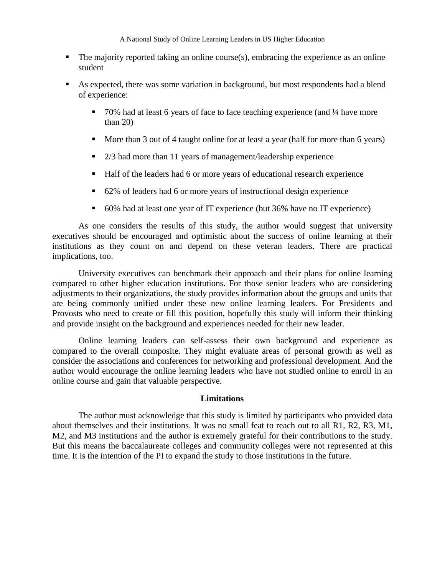- $\blacksquare$  The majority reported taking an online course(s), embracing the experience as an online student
- As expected, there was some variation in background, but most respondents had a blend of experience:
	- $\blacksquare$  70% had at least 6 years of face to face teaching experience (and  $\frac{1}{4}$  have more than 20)
	- More than 3 out of 4 taught online for at least a year (half for more than 6 years)
	- 2/3 had more than 11 years of management/leadership experience
	- Half of the leaders had 6 or more years of educational research experience
	- 62% of leaders had 6 or more years of instructional design experience
	- 60% had at least one year of IT experience (but 36% have no IT experience)

As one considers the results of this study, the author would suggest that university executives should be encouraged and optimistic about the success of online learning at their institutions as they count on and depend on these veteran leaders. There are practical implications, too.

University executives can benchmark their approach and their plans for online learning compared to other higher education institutions. For those senior leaders who are considering adjustments to their organizations, the study provides information about the groups and units that are being commonly unified under these new online learning leaders. For Presidents and Provosts who need to create or fill this position, hopefully this study will inform their thinking and provide insight on the background and experiences needed for their new leader.

Online learning leaders can self-assess their own background and experience as compared to the overall composite. They might evaluate areas of personal growth as well as consider the associations and conferences for networking and professional development. And the author would encourage the online learning leaders who have not studied online to enroll in an online course and gain that valuable perspective.

## **Limitations**

The author must acknowledge that this study is limited by participants who provided data about themselves and their institutions. It was no small feat to reach out to all R1, R2, R3, M1, M2, and M3 institutions and the author is extremely grateful for their contributions to the study. But this means the baccalaureate colleges and community colleges were not represented at this time. It is the intention of the PI to expand the study to those institutions in the future.